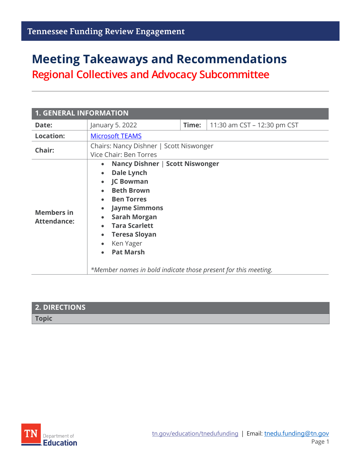# **Meeting Takeaways and Recommendations**

**Regional Collectives and Advocacy Subcommittee**

| <b>1. GENERAL INFORMATION</b>           |                                                                                                                                                                                                                                                                                                                                                                                                          |       |                             |
|-----------------------------------------|----------------------------------------------------------------------------------------------------------------------------------------------------------------------------------------------------------------------------------------------------------------------------------------------------------------------------------------------------------------------------------------------------------|-------|-----------------------------|
| Date:                                   | January 5. 2022                                                                                                                                                                                                                                                                                                                                                                                          | Time: | 11:30 am CST - 12:30 pm CST |
| <b>Location:</b>                        | <b>Microsoft TEAMS</b>                                                                                                                                                                                                                                                                                                                                                                                   |       |                             |
| Chair:                                  | Chairs: Nancy Dishner   Scott Niswonger<br>Vice Chair: Ben Torres                                                                                                                                                                                                                                                                                                                                        |       |                             |
| <b>Members in</b><br><b>Attendance:</b> | Nancy Dishner   Scott Niswonger<br>$\bullet$<br>Dale Lynch<br>$\bullet$<br><b>JC Bowman</b><br>$\bullet$<br><b>Beth Brown</b><br><b>Ben Torres</b><br><b>Jayme Simmons</b><br>$\bullet$<br><b>Sarah Morgan</b><br>$\bullet$<br><b>Tara Scarlett</b><br><b>Teresa Sloyan</b><br>$\bullet$<br>Ken Yager<br>$\bullet$<br><b>Pat Marsh</b><br>*Member names in bold indicate those present for this meeting. |       |                             |

| 2. DIRECTIONS |  |
|---------------|--|
| <b>Topic</b>  |  |

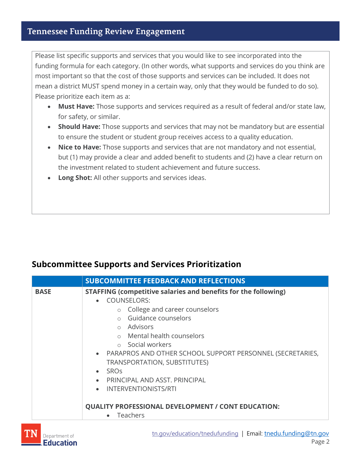#### **Tennessee Funding Review Engagement**

Please list specific supports and services that you would like to see incorporated into the funding formula for each category. (In other words, what supports and services do you think are most important so that the cost of those supports and services can be included. It does not mean a district MUST spend money in a certain way, only that they would be funded to do so). Please prioritize each item as a:

- **Must Have:** Those supports and services required as a result of federal and/or state law, for safety, or similar.
- **Should Have:** Those supports and services that may not be mandatory but are essential to ensure the student or student group receives access to a quality education.
- **Nice to Have:** Those supports and services that are not mandatory and not essential, but (1) may provide a clear and added benefit to students and (2) have a clear return on the investment related to student achievement and future success.
- **Long Shot:** All other supports and services ideas.

#### **Subcommittee Supports and Services Prioritization**

|             | <b>SUBCOMMITTEE FEEDBACK AND REFLECTIONS</b>                                                                                                                                                                                                                                                                                                                                                                                                            |  |
|-------------|---------------------------------------------------------------------------------------------------------------------------------------------------------------------------------------------------------------------------------------------------------------------------------------------------------------------------------------------------------------------------------------------------------------------------------------------------------|--|
| <b>BASE</b> | STAFFING (competitive salaries and benefits for the following)<br><b>COUNSELORS:</b><br>$\bullet$<br>College and career counselors<br>$\circ$<br>Guidance counselors<br>o Advisors<br>o Mental health counselors<br>○ Social workers<br>• PARAPROS AND OTHER SCHOOL SUPPORT PERSONNEL (SECRETARIES,<br>TRANSPORTATION, SUBSTITUTES)<br><b>SRO<sub>S</sub></b><br>$\bullet$<br>PRINCIPAL AND ASST. PRINCIPAL<br><b>INTERVENTIONISTS/RTI</b><br>$\bullet$ |  |
|             | <b>QUALITY PROFESSIONAL DEVELOPMENT / CONT EDUCATION:</b><br>• Teachers                                                                                                                                                                                                                                                                                                                                                                                 |  |
|             |                                                                                                                                                                                                                                                                                                                                                                                                                                                         |  |

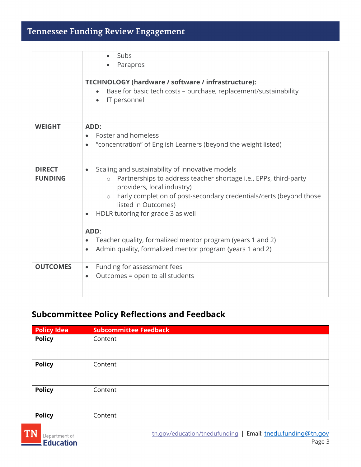## **Tennessee Funding Review Engagement**

|                                 | Subs<br>Parapros<br>TECHNOLOGY (hardware / software / infrastructure):<br>Base for basic tech costs - purchase, replacement/sustainability<br>IT personnel<br>$\bullet$                                                                                                                                                |
|---------------------------------|------------------------------------------------------------------------------------------------------------------------------------------------------------------------------------------------------------------------------------------------------------------------------------------------------------------------|
| <b>WEIGHT</b>                   | ADD:<br>Foster and homeless<br>"concentration" of English Learners (beyond the weight listed)<br>$\bullet$                                                                                                                                                                                                             |
| <b>DIRECT</b><br><b>FUNDING</b> | Scaling and sustainability of innovative models<br>$\bullet$<br>Partnerships to address teacher shortage i.e., EPPs, third-party<br>$\circ$<br>providers, local industry)<br>Early completion of post-secondary credentials/certs (beyond those<br>$\circ$<br>listed in Outcomes)<br>HDLR tutoring for grade 3 as well |
|                                 | ADD:<br>Teacher quality, formalized mentor program (years 1 and 2)<br>Admin quality, formalized mentor program (years 1 and 2)<br>$\bullet$                                                                                                                                                                            |
| <b>OUTCOMES</b>                 | Funding for assessment fees<br>$\bullet$<br>Outcomes = open to all students<br>$\bullet$                                                                                                                                                                                                                               |

### **Subcommittee Policy Reflections and Feedback**

| <b>Policy Idea</b> | <b>Subcommittee Feedback</b> |
|--------------------|------------------------------|
| <b>Policy</b>      | Content                      |
| <b>Policy</b>      | Content                      |
| <b>Policy</b>      | Content                      |
| <b>Policy</b>      | Content                      |